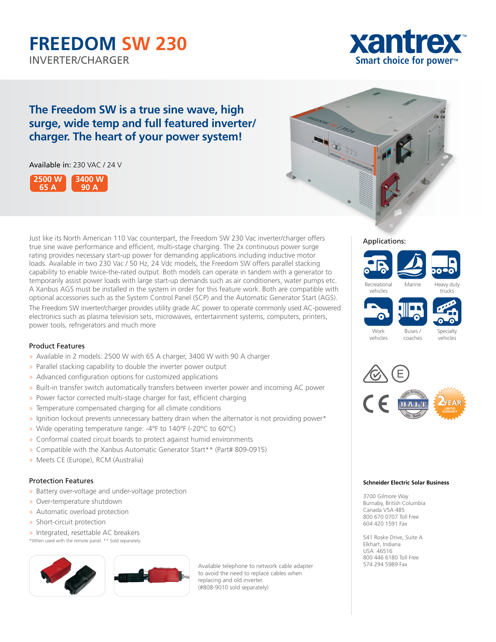# **FREEDOM SW 230** INVERTER/CHARGER **Smart choice for power™**



# **The Freedom SW is a true sine wave, high surge, wide temp and full featured inverter/ charger. The heart of your power system!**

# Available in: 230 VAC / 24 V





Just like its North American 110 Vac counterpart, the Freedom SW 230 Vac inverter/charger offers true sine wave performance and efficient, multi-stage charging. The 2x continuous power surge rating provides necessary start-up power for demanding applications including inductive motor loads. Available in two 230 Vac / 50 Hz, 24 Vdc models, the Freedom SW offers parallel stacking capability to enable twice-the-rated output. Both models can operate in tandem with a generator to temporarily assist power loads with large start-up demands such as air conditioners, water pumps etc. A Xanbus AGS must be installed in the system in order for this feature work. Both are compatible with optional accessories such as the System Control Panel (SCP) and the Automatic Generator Start (AGS). The Freedom SW inverter/charger provides utility grade AC power to operate commonly used AC-powered electronics such as plasma television sets, microwaves, entertainment systems, computers, printers, power tools, refrigerators and much more

# Product Features

- » Available in 2 models: 2500 W with 65 A charger, 3400 W with 90 A charger
- » Parallel stacking capability to double the inverter power output
- » Advanced configuration options for customized applications
- » Built-in transfer switch automatically transfers between inverter power and incoming AC power
- » Power factor corrected multi-stage charger for fast, efficient charging
- » Temperature compensated charging for all climate conditions
- » Ignition lockout prevents unnecessary battery drain when the alternator is not providing power\*
- » Wide operating temperature range: -4°F to 140°F (-20°C to 60°C)
- » Conformal coated circuit boards to protect against humid environments
- » Compatible with the Xanbus Automatic Generator Start\*\* (Part# 809-0915)
- » Meets CE (Europe), RCM (Australia)

## Protection Features

- » Battery over-voltage and under-voltage protection
- » Over-temperature shutdown
- » Automatic overload protection
- » Short-circuit protection

» Integrated, resettable AC breakers \*When used with the remote panel. \*\* Sold separately.



Available telephone to network cable adapter to avoid the need to replace cables when replacing and old inverter. (#808-9010 sold separately)













**Work** vehicles Specialty vehicles



Buses / coaches

#### **Schneider Electric Solar Business**

3700 Gilmore Way Burnaby, British Columbia Canada V5A 4B5 800 670 0707 Toll Free 604 420 1591 Fax

541 Roske Drive, Suite A Elkhart, Indiana USA 46516 800 446 6180 Toll Free 574 294 5989 Fax